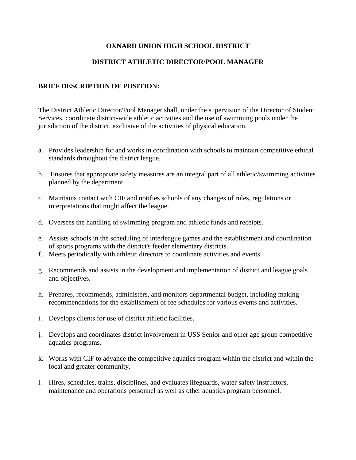### **OXNARD UNION HIGH SCHOOL DISTRICT**

## **DISTRICT ATHLETIC DIRECTOR/POOL MANAGER**

### **BRIEF DESCRIPTION OF POSITION:**

The District Athletic Director/Pool Manager shall, under the supervision of the Director of Student Services, coordinate district-wide athletic activities and the use of swimming pools under the jurisdiction of the district, exclusive of the activities of physical education.

- a. Provides leadership for and works in coordination with schools to maintain competitive ethical standards throughout the district league.
- b. Ensures that appropriate safety measures are an integral part of all athletic/swimming activities planned by the department.
- c. Maintains contact with CIF and notifies schools of any changes of rules, regulations or interpretations that might affect the league.
- d. Oversees the handling of swimming program and athletic funds and receipts.
- e. Assists schools in the scheduling of interleague games and the establishment and coordination of sports programs with the district's feeder elementary districts.
- f. Meets periodically with athletic directors to coordinate activities and events.
- g. Recommends and assists in the development and implementation of district and league goals and objectives.
- h. Prepares, recommends, administers, and monitors departmental budget, including making recommendations for the establishment of fee schedules for various events and activities.
- i.. Develops clients for use of district athletic facilities.
- j. Develops and coordinates district involvement in USS Senior and other age group competitive aquatics programs.
- k. Works with CIF to advance the competitive aquatics program within the district and within the local and greater community.
- l. Hires, schedules, trains, disciplines, and evaluates lifeguards, water safety instructors, maintenance and operations personnel as well as other aquatics program personnel.